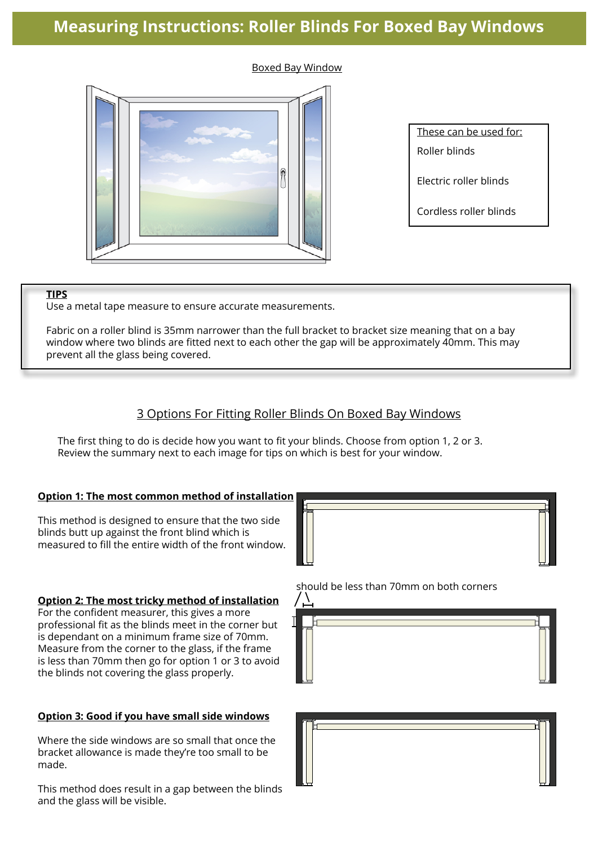# **Measuring Instructions: Roller Blinds For Boxed Bay Windows**

### Boxed Bay Window



These can be used for:

Roller blinds

Electric roller blinds

Cordless roller blinds

### **TIPS**

Use a metal tape measure to ensure accurate measurements.

Fabric on a roller blind is 35mm narrower than the full bracket to bracket size meaning that on a bay window where two blinds are fitted next to each other the gap will be approximately 40mm. This may prevent all the glass being covered.

# 3 Options For Fitting Roller Blinds On Boxed Bay Windows

The first thing to do is decide how you want to fit your blinds. Choose from option 1, 2 or 3. Review the summary next to each image for tips on which is best for your window.

## **Option 1: The most common method of installation**

This method is designed to ensure that the two side blinds butt up against the front blind which is measured to fill the entire width of the front window.

### **Option 2: The most tricky method of installation**

For the confident measurer, this gives a more professional fit as the blinds meet in the corner but is dependant on a minimum frame size of 70mm. Measure from the corner to the glass, if the frame is less than 70mm then go for option 1 or 3 to avoid the blinds not covering the glass properly.

#### **Option 3: Good if you have small side windows**

Where the side windows are so small that once the bracket allowance is made they're too small to be made.

This method does result in a gap between the blinds and the glass will be visible.



should be less than 70mm on both corners